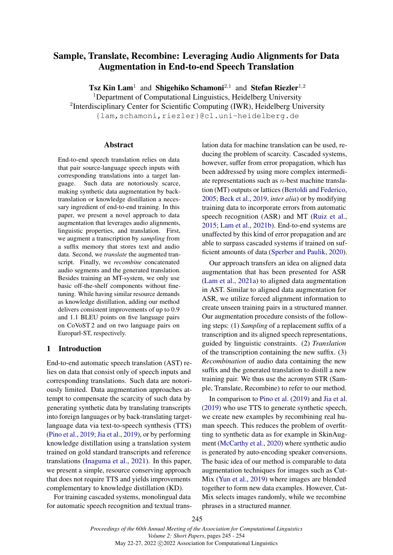# Sample, Translate, Recombine: Leveraging Audio Alignments for Data Augmentation in End-to-end Speech Translation

**Tsz Kin Lam<sup>1</sup>** and Shigehiko Schamoni<sup>2,1</sup> and Stefan Riezler<sup>1,2</sup> <sup>1</sup>Department of Computational Linguistics, Heidelberg University <sup>2</sup>Interdisciplinary Center for Scientific Computing (IWR), Heidelberg University {lam,schamoni,riezler}@cl.uni-heidelberg.de

### Abstract

End-to-end speech translation relies on data that pair source-language speech inputs with corresponding translations into a target language. Such data are notoriously scarce, making synthetic data augmentation by backtranslation or knowledge distillation a necessary ingredient of end-to-end training. In this paper, we present a novel approach to data augmentation that leverages audio alignments, linguistic properties, and translation. First, we augment a transcription by *sampling* from a suffix memory that stores text and audio data. Second, we *translate* the augmented transcript. Finally, we *recombine* concatenated audio segments and the generated translation. Besides training an MT-system, we only use basic off-the-shelf components without finetuning. While having similar resource demands as knowledge distillation, adding our method delivers consistent improvements of up to 0.9 and 1.1 BLEU points on five language pairs on CoVoST 2 and on two language pairs on Europarl-ST, respectively.

## 1 Introduction

End-to-end automatic speech translation (AST) relies on data that consist only of speech inputs and corresponding translations. Such data are notoriously limited. Data augmentation approaches attempt to compensate the scarcity of such data by generating synthetic data by translating transcripts into foreign languages or by back-translating targetlanguage data via text-to-speech synthesis (TTS) [\(Pino et al.,](#page-5-0) [2019;](#page-5-0) [Jia et al.,](#page-5-1) [2019\)](#page-5-1), or by performing knowledge distillation using a translation system trained on gold standard transcripts and reference translations [\(Inaguma et al.,](#page-5-2) [2021\)](#page-5-2). In this paper, we present a simple, resource conserving approach that does not require TTS and yields improvements complementary to knowledge distillation (KD).

For training cascaded systems, monolingual data for automatic speech recognition and textual translation data for machine translation can be used, reducing the problem of scarcity. Cascaded systems, however, suffer from error propagation, which has been addressed by using more complex intermediate representations such as  $n$ -best machine translation (MT) outputs or lattices [\(Bertoldi and Federico,](#page-5-3) [2005;](#page-5-3) [Beck et al.,](#page-5-4) [2019,](#page-5-4) *inter alia*) or by modifying training data to incorporate errors from automatic speech recognition (ASR) and MT [\(Ruiz et al.,](#page-5-5) [2015;](#page-5-5) [Lam et al.,](#page-5-6) [2021b\)](#page-5-6). End-to-end systems are unaffected by this kind of error propagation and are able to surpass cascaded systems if trained on sufficient amounts of data [\(Sperber and Paulik,](#page-6-0) [2020\)](#page-6-0).

Our approach transfers an idea on aligned data augmentation that has been presented for ASR [\(Lam et al.,](#page-5-7) [2021a\)](#page-5-7) to aligned data augmentation in AST. Similar to aligned data augmentation for ASR, we utilize forced alignment information to create unseen training pairs in a structured manner. Our augmentation procedure consists of the following steps: (1) *Sampling* of a replacement suffix of a transcription and its aligned speech representations, guided by linguistic constraints. (2) *Translation* of the transcription containing the new suffix. (3) *Recombination* of audio data containing the new suffix and the generated translation to distill a new training pair. We thus use the acronym STR (Sample, Translate, Recombine) to refer to our method.

In comparison to [Pino et al.](#page-5-0) [\(2019\)](#page-5-0) and [Jia et al.](#page-5-1) [\(2019\)](#page-5-1) who use TTS to generate synthetic speech, we create new examples by recombining real human speech. This reduces the problem of overfitting to synthetic data as for example in SkinAugment [\(McCarthy et al.,](#page-5-8) [2020\)](#page-5-8) where synthetic audio is generated by auto-encoding speaker conversions. The basic idea of our method is comparable to data augmentation techniques for images such as Cut-Mix [\(Yun et al.,](#page-6-1) [2019\)](#page-6-1) where images are blended together to form new data examples. However, Cut-Mix selects images randomly, while we recombine phrases in a structured manner.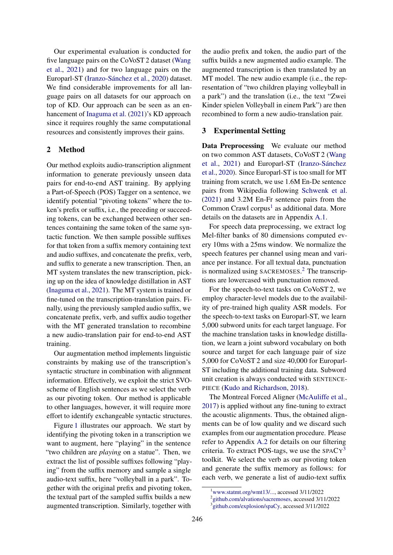Our experimental evaluation is conducted for five language pairs on the CoVoST 2 dataset [\(Wang](#page-6-2) [et al.,](#page-6-2) [2021\)](#page-6-2) and for two language pairs on the Europarl-ST [\(Iranzo-Sánchez et al.,](#page-5-9) [2020\)](#page-5-9) dataset. We find considerable improvements for all language pairs on all datasets for our approach on top of KD. Our approach can be seen as an enhancement of [Inaguma et al.](#page-5-2) [\(2021\)](#page-5-2)'s KD approach since it requires roughly the same computational resources and consistently improves their gains.

## 2 Method

Our method exploits audio-transcription alignment information to generate previously unseen data pairs for end-to-end AST training. By applying a Part-of-Speech (POS) Tagger on a sentence, we identify potential "pivoting tokens" where the token's prefix or suffix, i.e., the preceding or succeeding tokens, can be exchanged between other sentences containing the same token of the same syntactic function. We then sample possible suffixes for that token from a suffix memory containing text and audio suffixes, and concatenate the prefix, verb, and suffix to generate a new transcription. Then, an MT system translates the new transcription, picking up on the idea of knowledge distillation in AST [\(Inaguma et al.,](#page-5-2) [2021\)](#page-5-2). The MT system is trained or fine-tuned on the transcription-translation pairs. Finally, using the previously sampled audio suffix, we concatenate prefix, verb, and suffix audio together with the MT generated translation to recombine a new audio-translation pair for end-to-end AST training.

Our augmentation method implements linguistic constraints by making use of the transcription's syntactic structure in combination with alignment information. Effectively, we exploit the strict SVOscheme of English sentences as we select the verb as our pivoting token. Our method is applicable to other languages, however, it will require more effort to identify exchangeable syntactic structures.

Figure [1](#page-2-0) illustrates our approach. We start by identifying the pivoting token in a transcription we want to augment, here "playing" in the sentence "two children are *playing* on a statue". Then, we extract the list of possible suffixes following "playing" from the suffix memory and sample a single audio-text suffix, here "volleyball in a park". Together with the original prefix and pivoting token, the textual part of the sampled suffix builds a new augmented transcription. Similarly, together with

the audio prefix and token, the audio part of the suffix builds a new augmented audio example. The augmented transcription is then translated by an MT model. The new audio example (i.e., the representation of "two children playing volleyball in a park") and the translation (i.e., the text "Zwei Kinder spielen Volleyball in einem Park") are then recombined to form a new audio-translation pair.

## 3 Experimental Setting

Data Preprocessing We evaluate our method on two common AST datasets, CoVoST 2 [\(Wang](#page-6-2) [et al.,](#page-6-2) [2021\)](#page-6-2) and Europarl-ST [\(Iranzo-Sánchez](#page-5-9) [et al.,](#page-5-9) [2020\)](#page-5-9). Since Europarl-ST is too small for MT training from scratch, we use 1.6M En-De sentence pairs from Wikipedia following [Schwenk et al.](#page-5-10) [\(2021\)](#page-5-10) and 3.2M En-Fr sentence pairs from the Common Crawl corpus<sup>[1](#page-1-0)</sup> as additional data. More details on the datasets are in Appendix [A.1.](#page-6-3)

For speech data preprocessing, we extract log Mel-filter banks of 80 dimensions computed every 10ms with a 25ms window. We normalize the speech features per channel using mean and variance per instance. For all textual data, punctuation is normalized using SACREMOSES. [2](#page-1-1) The transcriptions are lowercased with punctuation removed.

For the speech-to-text tasks on CoVoST 2, we employ character-level models due to the availability of pre-trained high quality ASR models. For the speech-to-text tasks on Europarl-ST, we learn 5,000 subword units for each target language. For the machine translation tasks in knowledge distillation, we learn a joint subword vocabulary on both source and target for each language pair of size 5,000 for CoVoST 2 and size 40,000 for Europarl-ST including the additional training data. Subword unit creation is always conducted with SENTENCE-PIECE [\(Kudo and Richardson,](#page-5-11) [2018\)](#page-5-11).

The Montreal Forced Aligner [\(McAuliffe et al.,](#page-5-12) [2017\)](#page-5-12) is applied without any fine-tuning to extract the acoustic alignments. Thus, the obtained alignments can be of low quality and we discard such examples from our augmentation procedure. Please refer to Appendix [A.2](#page-6-4) for details on our filtering criteria. To extract POS-tags, we use the  $SPACY<sup>3</sup>$  $SPACY<sup>3</sup>$  $SPACY<sup>3</sup>$ toolkit. We select the verb as our pivoting token and generate the suffix memory as follows: for each verb, we generate a list of audio-text suffix

<span id="page-1-0"></span><sup>1</sup>[www.statmt.org/wmt13/...,](https://www.statmt.org/wmt13/translation-task.html) accessed 3/11/2022

<span id="page-1-2"></span><span id="page-1-1"></span><sup>2</sup> [github.com/alvations/sacremoses,](https://github.com/alvations/sacremoses) accessed 3/11/2022

<sup>3</sup> [github.com/explosion/spaCy,](https://github.com/explosion/spaCy) accessed 3/11/2022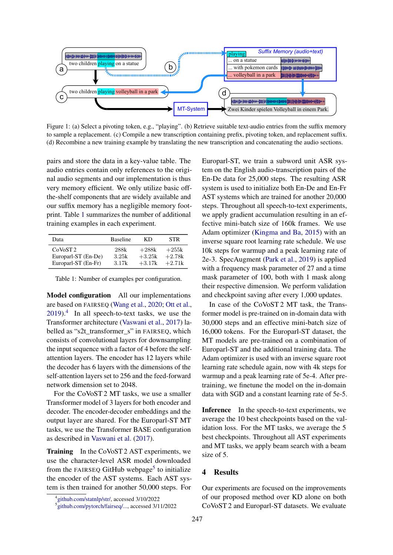<span id="page-2-0"></span>

Figure 1: (a) Select a pivoting token, e.g., "playing". (b) Retrieve suitable text-audio entries from the suffix memory to sample a replacement. (c) Compile a new transcription containing prefix, pivoting token, and replacement suffix. (d) Recombine a new training example by translating the new transcription and concatenating the audio sections.

pairs and store the data in a key-value table. The audio entries contain only references to the original audio segments and our implementation is thus very memory efficient. We only utilize basic offthe-shelf components that are widely available and our suffix memory has a negligible memory footprint. Table [1](#page-2-1) summarizes the number of additional training examples in each experiment.

<span id="page-2-1"></span>

| Data                             | <b>Baseline</b> | KD       | <b>STR</b> |
|----------------------------------|-----------------|----------|------------|
| CoV <sub>0</sub> ST <sub>2</sub> | 288k            | $+288k$  | $+255k$    |
| Europarl-ST (En-De)              | 3.25k           | $+3.25k$ | $+2.78k$   |
| Europarl-ST (En-Fr)              | 3.17k           | $+3.17k$ | $+2.71k$   |

Table 1: Number of examples per configuration.

Model configuration All our implementations are based on FAIRSEQ [\(Wang et al.,](#page-6-5) [2020;](#page-6-5) [Ott et al.,](#page-5-13)  $2019$ .<sup>[4](#page-2-2)</sup> In all speech-to-text tasks, we use the Transformer architecture [\(Vaswani et al.,](#page-6-6) [2017\)](#page-6-6) labelled as "s2t\_transformer\_s" in FAIRSEQ, which consists of convolutional layers for downsampling the input sequence with a factor of 4 before the selfattention layers. The encoder has 12 layers while the decoder has 6 layers with the dimensions of the self-attention layers set to 256 and the feed-forward network dimension set to 2048.

For the CoVoST 2 MT tasks, we use a smaller Transformer model of 3 layers for both encoder and decoder. The encoder-decoder embeddings and the output layer are shared. For the Europarl-ST MT tasks, we use the Transformer BASE configuration as described in [Vaswani et al.](#page-6-6) [\(2017\)](#page-6-6).

Training In the CoVoST 2 AST experiments, we use the character-level ASR model downloaded from the FAIRSEQ GitHub webpage<sup>[5](#page-2-3)</sup> to initialize the encoder of the AST systems. Each AST system is then trained for another 50,000 steps. For Europarl-ST, we train a subword unit ASR system on the English audio-transcription pairs of the En-De data for 25,000 steps. The resulting ASR system is used to initialize both En-De and En-Fr AST systems which are trained for another 20,000 steps. Throughout all speech-to-text experiments, we apply gradient accumulation resulting in an effective mini-batch size of 160k frames. We use Adam optimizer [\(Kingma and Ba,](#page-5-14) [2015\)](#page-5-14) with an inverse square root learning rate schedule. We use 10k steps for warmup and a peak learning rate of 2e-3. SpecAugment [\(Park et al.,](#page-5-15) [2019\)](#page-5-15) is applied with a frequency mask parameter of 27 and a time mask parameter of 100, both with 1 mask along their respective dimension. We perform validation and checkpoint saving after every 1,000 updates.

In case of the CoVoST 2 MT task, the Transformer model is pre-trained on in-domain data with 30,000 steps and an effective mini-batch size of 16,000 tokens. For the Europarl-ST dataset, the MT models are pre-trained on a combination of Europarl-ST and the additional training data. The Adam optimizer is used with an inverse square root learning rate schedule again, now with 4k steps for warmup and a peak learning rate of 5e-4. After pretraining, we finetune the model on the in-domain data with SGD and a constant learning rate of 5e-5.

Inference In the speech-to-text experiments, we average the 10 best checkpoints based on the validation loss. For the MT tasks, we average the 5 best checkpoints. Throughout all AST experiments and MT tasks, we apply beam search with a beam size of 5.

## 4 Results

Our experiments are focused on the improvements of our proposed method over KD alone on both CoVoST 2 and Europarl-ST datasets. We evaluate

<span id="page-2-2"></span><sup>4</sup> [github.com/statnlp/str/,](https://github.com/statnlp/str/) accessed 3/10/2022

<span id="page-2-3"></span><sup>5</sup> [github.com/pytorch/fairseq/...,](https://github.com/pytorch/fairseq/blob/main/examples/speech_to_text/docs/covost_example.md) accessed 3/11/2022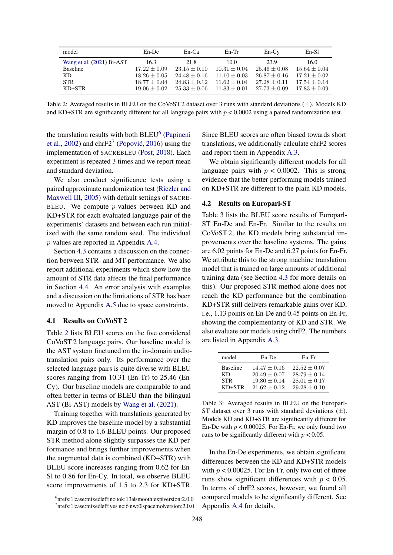<span id="page-3-2"></span>

| model                     | $En$ -De         | $En-Ca$        | $En-Tr$        | $En-Cv$          | $En-Sl$          |
|---------------------------|------------------|----------------|----------------|------------------|------------------|
| Wang et al. (2021) Bi-AST | 16.3             | 21.8           | 10.0           | 23.9             | 16.0             |
| <b>Baseline</b>           | $17.22 \pm 0.09$ | $23.15 + 0.10$ | $10.31 + 0.04$ | $25.46 \pm 0.08$ | $15.64 \pm 0.04$ |
| KD.                       | $18.26 \pm 0.05$ | $24.48 + 0.16$ | $11.10 + 0.03$ | $26.87 + 0.16$   | $17.21 + 0.02$   |
| <b>STR</b>                | $18.77 + 0.04$   | $24.83 + 0.12$ | $11.62 + 0.04$ | $27.28 + 0.11$   | $17.54 + 0.14$   |
| $KD+STR$                  | $19.06 + 0.02$   | $25.33 + 0.06$ | $11.83 + 0.01$ | $27.73 + 0.09$   | $17.83 + 0.09$   |

Table 2: Averaged results in BLEU on the CoVoST 2 dataset over 3 runs with standard deviations (±). Models KD and KD+STR are significantly different for all language pairs with  $p < 0.0002$  using a paired randomization test.

the translation results with both BLEU<sup>[6](#page-3-0)</sup> [\(Papineni](#page-5-16) [et al.,](#page-5-16) [2002\)](#page-5-16) and chr $F2^7$  $F2^7$  (Popović, [2016\)](#page-5-17) using the implementation of SACREBLEU [\(Post,](#page-5-18) [2018\)](#page-5-18). Each experiment is repeated 3 times and we report mean and standard deviation.

We also conduct significance tests using a paired approximate randomization test [\(Riezler and](#page-5-19) [Maxwell III,](#page-5-19) [2005\)](#page-5-19) with default settings of SACRE-BLEU. We compute  $p$ -values between KD and KD+STR for each evaluated language pair of the experiments' datasets and between each run initialized with the same random seed. The individual p-values are reported in Appendix [A.4.](#page-6-7)

Section [4.3](#page-4-0) contains a discussion on the connection between STR- and MT-performance. We also report additional experiments which show how the amount of STR data affects the final performance in Section [4.4.](#page-4-1) An error analysis with examples and a discussion on the limitations of STR has been moved to Appendix [A.5](#page-7-0) due to space constraints.

## 4.1 Results on CoVoST 2

Table [2](#page-3-2) lists BLEU scores on the five considered CoVoST 2 language pairs. Our baseline model is the AST system finetuned on the in-domain audiotranslation pairs only. Its performance over the selected language pairs is quite diverse with BLEU scores ranging from 10.31 (En-Tr) to 25.46 (En-Cy). Our baseline models are comparable to and often better in terms of BLEU than the bilingual AST (Bi-AST) models by [Wang et al.](#page-6-2) [\(2021\)](#page-6-2).

Training together with translations generated by KD improves the baseline model by a substantial margin of 0.8 to 1.6 BLEU points. Our proposed STR method alone slightly surpasses the KD performance and brings further improvements when the augmented data is combined (KD+STR) with BLEU score increases ranging from 0.62 for En-Sl to 0.86 for En-Cy. In total, we observe BLEU score improvements of 1.5 to 2.3 for KD+STR.

Since BLEU scores are often biased towards short translations, we additionally calculate chrF2 scores and report them in Appendix [A.3.](#page-6-8)

We obtain significantly different models for all language pairs with  $p < 0.0002$ . This is strong evidence that the better performing models trained on KD+STR are different to the plain KD models.

### 4.2 Results on Europarl-ST

Table 3 lists the BLEU score results of Europarl-ST En-De and En-Fr. Similar to the results on CoVoST 2, the KD models bring substantial improvements over the baseline systems. The gains are 6.02 points for En-De and 6.27 points for En-Fr. We attribute this to the strong machine translation model that is trained on large amounts of additional training data (see Section [4.3](#page-4-0) for more details on this). Our proposed STR method alone does not reach the KD performance but the combination KD+STR still delivers remarkable gains over KD, i.e., 1.13 points on En-De and 0.45 points on En-Fr, showing the complementarity of KD and STR. We also evaluate our models using chrF2. The numbers are listed in Appendix [A.3.](#page-6-8)

<span id="page-3-3"></span>

| model           | En-De          | En-Fr            |
|-----------------|----------------|------------------|
| <b>Baseline</b> | $14.47 + 0.16$ | $22.52 \pm 0.07$ |
| КD              | $20.49 + 0.07$ | $28.79 + 0.14$   |
| <b>STR</b>      | $19.80 + 0.14$ | $28.01 + 0.17$   |
| $KD+STR$        | $21.62 + 0.12$ | $29.28 + 0.10$   |

Table 3: Averaged results in BLEU on the Europarl-ST dataset over 3 runs with standard deviations  $(\pm)$ . Models KD and KD+STR are significantly different for En-De with  $p < 0.00025$ . For En-Fr, we only found two runs to be significantly different with  $p < 0.05$ .

In the En-De experiments, we obtain significant differences between the KD and KD+STR models with  $p < 0.00025$ . For En-Fr, only two out of three runs show significant differences with  $p < 0.05$ . In terms of chrF2 scores, however, we found all compared models to be significantly different. See Appendix [A.4](#page-6-7) for details.

<span id="page-3-1"></span><span id="page-3-0"></span><sup>6</sup> nrefs:1|case:mixed|eff:no|tok:13a|smooth:exp|version:2.0.0 7 nrefs:1|case:mixed|eff:yes|nc:6|nw:0|space:no|version:2.0.0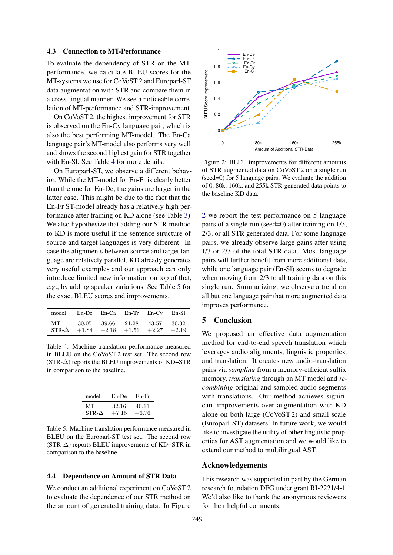### <span id="page-4-0"></span>4.3 Connection to MT-Performance

To evaluate the dependency of STR on the MTperformance, we calculate BLEU scores for the MT-systems we use for CoVoST 2 and Europarl-ST data augmentation with STR and compare them in a cross-lingual manner. We see a noticeable correlation of MT-performance and STR-improvement.

On CoVoST 2, the highest improvement for STR is observed on the En-Cy language pair, which is also the best performing MT-model. The En-Ca language pair's MT-model also performs very well and shows the second highest gain for STR together with En-Sl. See Table [4](#page-4-2) for more details.

On Europarl-ST, we observe a different behavior. While the MT-model for En-Fr is clearly better than the one for En-De, the gains are larger in the latter case. This might be due to the fact that the En-Fr ST-model already has a relatively high performance after training on KD alone (see Table [3\)](#page-3-3). We also hypothesize that adding our STR method to KD is more useful if the sentence structure of source and target languages is very different. In case the alignments between source and target language are relatively parallel, KD already generates very useful examples and our approach can only introduce limited new information on top of that, e.g., by adding speaker variations. See Table [5](#page-4-3) for the exact BLEU scores and improvements.

<span id="page-4-2"></span>

| model En-De En-Ca En-Tr En-Cy En-Sl |  |                                            |  |
|-------------------------------------|--|--------------------------------------------|--|
| MT 30.05 39.66 21.28 43.57 30.32    |  | $STR-\Delta$ +1.84 +2.18 +1.51 +2.27 +2.19 |  |

Table 4: Machine translation performance measured in BLEU on the CoVoST 2 test set. The second row  $(STR-\Delta)$  reports the BLEU improvements of KD+STR in comparison to the baseline.

<span id="page-4-3"></span>

| model   | En-De   | En-Fr   |
|---------|---------|---------|
| MТ      | 32.16   | 40.11   |
| $STR-A$ | $+7.15$ | $+6.76$ |

Table 5: Machine translation performance measured in BLEU on the Europarl-ST test set. The second row (STR-∆) reports BLEU improvements of KD+STR in comparison to the baseline.

#### <span id="page-4-1"></span>4.4 Dependence on Amount of STR Data

We conduct an additional experiment on CoVoST 2 to evaluate the dependence of our STR method on the amount of generated training data. In Figure

<span id="page-4-4"></span>

Figure 2: BLEU improvements for different amounts of STR augmented data on CoVoST 2 on a single run (seed=0) for 5 language pairs. We evaluate the addition of 0, 80k, 160k, and 255k STR-generated data points to the baseline KD data.

[2](#page-4-4) we report the test performance on 5 language pairs of a single run (seed=0) after training on 1/3, 2/3, or all STR generated data. For some language pairs, we already observe large gains after using 1/3 or 2/3 of the total STR data. Most language pairs will further benefit from more additional data, while one language pair (En-Sl) seems to degrade when moving from 2/3 to all training data on this single run. Summarizing, we observe a trend on all but one language pair that more augmented data improves performance.

## 5 Conclusion

We proposed an effective data augmentation method for end-to-end speech translation which leverages audio alignments, linguistic properties, and translation. It creates new audio-translation pairs via *sampling* from a memory-efficient suffix memory, *translating* through an MT model and *recombining* original and sampled audio segments with translations. Our method achieves significant improvements over augmentation with KD alone on both large (CoVoST 2) and small scale (Europarl-ST) datasets. In future work, we would like to investigate the utility of other linguistic properties for AST augmentation and we would like to extend our method to multilingual AST.

## Acknowledgements

This research was supported in part by the German research foundation DFG under grant RI-2221/4-1. We'd also like to thank the anonymous reviewers for their helpful comments.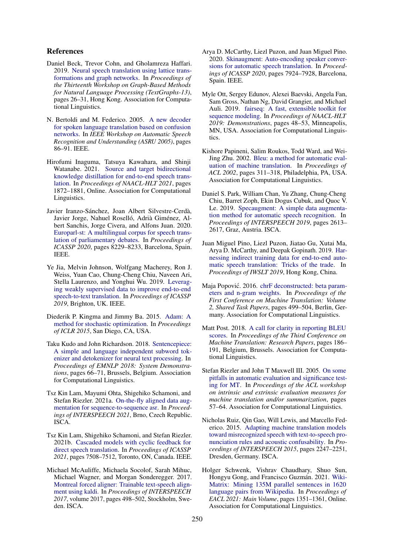## References

- <span id="page-5-4"></span>Daniel Beck, Trevor Cohn, and Gholamreza Haffari. 2019. [Neural speech translation using lattice trans](https://doi.org/10.18653/v1/D19-5304)[formations and graph networks.](https://doi.org/10.18653/v1/D19-5304) In *Proceedings of the Thirteenth Workshop on Graph-Based Methods for Natural Language Processing (TextGraphs-13)*, pages 26–31, Hong Kong. Association for Computational Linguistics.
- <span id="page-5-3"></span>N. Bertoldi and M. Federico. 2005. [A new decoder](https://doi.org/10.1109/ASRU.2005.1566492) [for spoken language translation based on confusion](https://doi.org/10.1109/ASRU.2005.1566492) [networks.](https://doi.org/10.1109/ASRU.2005.1566492) In *IEEE Workshop on Automatic Speech Recognition and Understanding (ASRU 2005)*, pages 86–91. IEEE.
- <span id="page-5-2"></span>Hirofumi Inaguma, Tatsuya Kawahara, and Shinji Watanabe. 2021. [Source and target bidirectional](https://doi.org/10.18653/v1/2021.naacl-main.150) [knowledge distillation for end-to-end speech trans](https://doi.org/10.18653/v1/2021.naacl-main.150)[lation.](https://doi.org/10.18653/v1/2021.naacl-main.150) In *Proceedings of NAACL-HLT 2021*, pages 1872–1881, Online. Association for Computational Linguistics.
- <span id="page-5-9"></span>Javier Iranzo-Sánchez, Joan Albert Silvestre-Cerdà, Javier Jorge, Nahuel Roselló, Adrià Giménez, Albert Sanchis, Jorge Civera, and Alfons Juan. 2020. [Europarl-st: A multilingual corpus for speech trans](https://doi.org/10.1109/ICASSP40776.2020.9054626)[lation of parliamentary debates.](https://doi.org/10.1109/ICASSP40776.2020.9054626) In *Proceedings of ICASSP 2020*, pages 8229–8233, Barcelona, Spain. IEEE.
- <span id="page-5-1"></span>Ye Jia, Melvin Johnson, Wolfgang Macherey, Ron J. Weiss, Yuan Cao, Chung-Cheng Chiu, Naveen Ari, Stella Laurenzo, and Yonghui Wu. 2019. [Leverag](https://doi.org/10.1109/ICASSP.2019.8683343)[ing weakly supervised data to improve end-to-end](https://doi.org/10.1109/ICASSP.2019.8683343) [speech-to-text translation.](https://doi.org/10.1109/ICASSP.2019.8683343) In *Proceedings of ICASSP 2019*, Brighton, UK. IEEE.
- <span id="page-5-14"></span>Diederik P. Kingma and Jimmy Ba. 2015. [Adam: A](http://arxiv.org/abs/1412.6980) [method for stochastic optimization.](http://arxiv.org/abs/1412.6980) In *Proceedings of ICLR 2015*, San Diego, CA, USA.
- <span id="page-5-11"></span>Taku Kudo and John Richardson. 2018. [Sentencepiece:](https://doi.org/10.18653/v1/d18-2012) [A simple and language independent subword tok](https://doi.org/10.18653/v1/d18-2012)[enizer and detokenizer for neural text processing.](https://doi.org/10.18653/v1/d18-2012) In *Proceedings of EMNLP 2018: System Demonstrations*, pages 66–71, Brussels, Belgium. Association for Computational Linguistics.
- <span id="page-5-7"></span>Tsz Kin Lam, Mayumi Ohta, Shigehiko Schamoni, and Stefan Riezler. 2021a. [On-the-fly aligned data aug](https://doi.org/10.21437/Interspeech.2021-1679)[mentation for sequence-to-sequence asr.](https://doi.org/10.21437/Interspeech.2021-1679) In *Proceedings of INTERSPEECH 2021*, Brno, Czech Republic. ISCA.
- <span id="page-5-6"></span>Tsz Kin Lam, Shigehiko Schamoni, and Stefan Riezler. 2021b. [Cascaded models with cyclic feedback for](https://doi.org/10.1109/ICASSP39728.2021.9413719) [direct speech translation.](https://doi.org/10.1109/ICASSP39728.2021.9413719) In *Proceedings of ICASSP 2021*, pages 7508–7512, Toronto, ON, Canada. IEEE.
- <span id="page-5-12"></span>Michael McAuliffe, Michaela Socolof, Sarah Mihuc, Michael Wagner, and Morgan Sonderegger. 2017. [Montreal forced aligner: Trainable text-speech align](http://www.isca-speech.org/archive/Interspeech_2017/abstracts/1386.html)[ment using kaldi.](http://www.isca-speech.org/archive/Interspeech_2017/abstracts/1386.html) In *Proceedings of INTERSPEECH 2017*, volume 2017, pages 498–502, Stockholm, Sweden. ISCA.
- <span id="page-5-8"></span>Arya D. McCarthy, Liezl Puzon, and Juan Miguel Pino. 2020. [Skinaugment: Auto-encoding speaker conver](https://doi.org/10.1109/ICASSP40776.2020.9053406)[sions for automatic speech translation.](https://doi.org/10.1109/ICASSP40776.2020.9053406) In *Proceedings of ICASSP 2020*, pages 7924–7928, Barcelona, Spain. IEEE.
- <span id="page-5-13"></span>Myle Ott, Sergey Edunov, Alexei Baevski, Angela Fan, Sam Gross, Nathan Ng, David Grangier, and Michael Auli. 2019. [fairseq: A fast, extensible toolkit for](https://doi.org/10.18653/v1/n19-4009) [sequence modeling.](https://doi.org/10.18653/v1/n19-4009) In *Proceedings of NAACL-HLT 2019: Demonstrations*, pages 48–53, Minneapolis, MN, USA. Association for Computational Linguistics.
- <span id="page-5-16"></span>Kishore Papineni, Salim Roukos, Todd Ward, and Wei-Jing Zhu. 2002. [Bleu: a method for automatic eval](https://doi.org/10.3115/1073083.1073135)[uation of machine translation.](https://doi.org/10.3115/1073083.1073135) In *Proceedings of ACL 2002*, pages 311–318, Philadelphia, PA, USA. Association for Computational Linguistics.
- <span id="page-5-15"></span>Daniel S. Park, William Chan, Yu Zhang, Chung-Cheng Chiu, Barret Zoph, Ekin Dogus Cubuk, and Quoc V. Le. 2019. [Specaugment: A simple data augmenta](https://doi.org/10.21437/Interspeech.2019-2680)[tion method for automatic speech recognition.](https://doi.org/10.21437/Interspeech.2019-2680) In *Proceedings of INTERSPEECH 2019*, pages 2613– 2617, Graz, Austria. ISCA.
- <span id="page-5-0"></span>Juan Miguel Pino, Liezl Puzon, Jiatao Gu, Xutai Ma, Arya D. McCarthy, and Deepak Gopinath. 2019. [Har](https://doi.org/10.5281/zenodo.3525032)[nessing indirect training data for end-to-end auto](https://doi.org/10.5281/zenodo.3525032)[matic speech translation: Tricks of the trade.](https://doi.org/10.5281/zenodo.3525032) In *Proceedings of IWSLT 2019*, Hong Kong, China.
- <span id="page-5-17"></span>Maja Popović. 2016. [chrF deconstructed: beta param](https://doi.org/10.18653/v1/W16-2341)[eters and n-gram weights.](https://doi.org/10.18653/v1/W16-2341) In *Proceedings of the First Conference on Machine Translation: Volume 2, Shared Task Papers*, pages 499–504, Berlin, Germany. Association for Computational Linguistics.
- <span id="page-5-18"></span>Matt Post. 2018. [A call for clarity in reporting BLEU](https://doi.org/10.18653/v1/w18-6319) [scores.](https://doi.org/10.18653/v1/w18-6319) In *Proceedings of the Third Conference on Machine Translation: Research Papers*, pages 186– 191, Belgium, Brussels. Association for Computational Linguistics.
- <span id="page-5-19"></span>Stefan Riezler and John T Maxwell III. 2005. [On some](https://aclanthology.org/W05-0908/) [pitfalls in automatic evaluation and significance test](https://aclanthology.org/W05-0908/)[ing for MT.](https://aclanthology.org/W05-0908/) In *Proceedings of the ACL workshop on intrinsic and extrinsic evaluation measures for machine translation and/or summarization*, pages 57–64. Association for Computational Linguistics.
- <span id="page-5-5"></span>Nicholas Ruiz, Qin Gao, Will Lewis, and Marcello Federico. 2015. [Adapting machine translation models](http://www.isca-speech.org/archive/interspeech_2015/i15_2247.html) [toward misrecognized speech with text-to-speech pro](http://www.isca-speech.org/archive/interspeech_2015/i15_2247.html)[nunciation rules and acoustic confusability.](http://www.isca-speech.org/archive/interspeech_2015/i15_2247.html) In *Proceedings of INTERSPEECH 2015*, pages 2247–2251, Dresden, Germany. ISCA.
- <span id="page-5-10"></span>Holger Schwenk, Vishrav Chaudhary, Shuo Sun, Hongyu Gong, and Francisco Guzmán. 2021. [Wiki-](https://doi.org/10.18653/v1/2021.eacl-main.115)[Matrix: Mining 135M parallel sentences in 1620](https://doi.org/10.18653/v1/2021.eacl-main.115) [language pairs from Wikipedia.](https://doi.org/10.18653/v1/2021.eacl-main.115) In *Proceedings of EACL 2021: Main Volume*, pages 1351–1361, Online. Association for Computational Linguistics.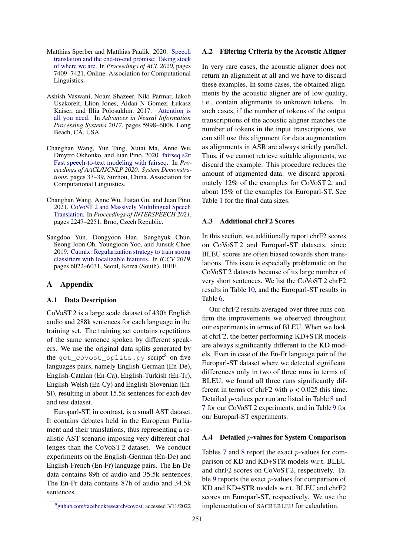- <span id="page-6-0"></span>Matthias Sperber and Matthias Paulik. 2020. [Speech](https://doi.org/10.18653/v1/2020.acl-main.661) [translation and the end-to-end promise: Taking stock](https://doi.org/10.18653/v1/2020.acl-main.661) [of where we are.](https://doi.org/10.18653/v1/2020.acl-main.661) In *Proceedings of ACL 2020*, pages 7409–7421, Online. Association for Computational Linguistics.
- <span id="page-6-6"></span>Ashish Vaswani, Noam Shazeer, Niki Parmar, Jakob Uszkoreit, Llion Jones, Aidan N Gomez, Łukasz Kaiser, and Illia Polosukhin. 2017. [Attention is](https://proceedings.neurips.cc/paper/2017/hash/3f5ee243547dee91fbd053c1c4a845aa-Abstract.html) [all you need.](https://proceedings.neurips.cc/paper/2017/hash/3f5ee243547dee91fbd053c1c4a845aa-Abstract.html) In *Advances in Neural Information Processing Systems 2017*, pages 5998–6008, Long Beach, CA, USA.
- <span id="page-6-5"></span>Changhan Wang, Yun Tang, Xutai Ma, Anne Wu, Dmytro Okhonko, and Juan Pino. 2020. [fairseq s2t:](https://aclanthology.org/2020.aacl-demo.6/) [Fast speech-to-text modeling with fairseq.](https://aclanthology.org/2020.aacl-demo.6/) In *Proceedings of AACL/IJCNLP 2020: System Demonstrations*, pages 33–39, Suzhou, China. Association for Computational Linguistics.
- <span id="page-6-2"></span>Changhan Wang, Anne Wu, Jiatao Gu, and Juan Pino. 2021. [CoVoST 2 and Massively Multilingual Speech](https://doi.org/10.21437/Interspeech.2021-2027) [Translation.](https://doi.org/10.21437/Interspeech.2021-2027) In *Proceedings of INTERSPEECH 2021*, pages 2247–2251, Brno, Czech Republic.
- <span id="page-6-1"></span>Sangdoo Yun, Dongyoon Han, Sanghyuk Chun, Seong Joon Oh, Youngjoon Yoo, and Junsuk Choe. 2019. [Cutmix: Regularization strategy to train strong](https://doi.org/10.1109/ICCV.2019.00612) [classifiers with localizable features.](https://doi.org/10.1109/ICCV.2019.00612) In *ICCV 2019*, pages 6022–6031, Seoul, Korea (South). IEEE.

## A Appendix

### <span id="page-6-3"></span>A.1 Data Description

CoVoST 2 is a large scale dataset of 430h English audio and 288k sentences for each language in the training set. The training set contains repetitions of the same sentence spoken by different speakers. We use the original data splits generated by the get\_covost\_splits.py script<sup>[8](#page-6-9)</sup> on five languages pairs, namely English-German (En-De), English-Catalan (En-Ca), English-Turkish (En-Tr), English-Welsh (En-Cy) and English-Slovenian (En-Sl), resulting in about 15.5k sentences for each dev and test dataset.

Europarl-ST, in contrast, is a small AST dataset. It contains debates held in the European Parliament and their translations, thus representing a realistic AST scenario imposing very different challenges than the CoVoST 2 dataset. We conduct experiments on the English-German (En-De) and English-French (En-Fr) language pairs. The En-De data contains 89h of audio and 35.5k sentences. The En-Fr data contains 87h of audio and 34.5k sentences.

### <span id="page-6-4"></span>A.2 Filtering Criteria by the Acoustic Aligner

In very rare cases, the acoustic aligner does not return an alignment at all and we have to discard these examples. In some cases, the obtained alignments by the acoustic aligner are of low quality, i.e., contain alignments to unknown tokens. In such cases, if the number of tokens of the output transcriptions of the acoustic aligner matches the number of tokens in the input transcriptions, we can still use this alignment for data augmentation as alignments in ASR are always strictly parallel. Thus, if we cannot retrieve suitable alignments, we discard the example. This procedure reduces the amount of augmented data: we discard approximately 12% of the examples for CoVoST 2, and about 15% of the examples for Europarl-ST. See Table [1](#page-2-1) for the final data sizes.

### <span id="page-6-8"></span>A.3 Additional chrF2 Scores

In this section, we additionally report chrF2 scores on CoVoST 2 and Europarl-ST datasets, since BLEU scores are often biased towards short translations. This issue is especially problematic on the CoVoST 2 datasets because of its large number of very short sentences. We list the CoVoST 2 chrF2 results in Table [10,](#page-8-0) and the Europarl-ST results in Table [6.](#page-7-1)

Our chrF2 results averaged over three runs confirm the improvements we observed throughout our experiments in terms of BLEU. When we look at chrF2, the better performing KD+STR models are always significantly different to the KD models. Even in case of the En-Fr language pair of the Europarl-ST dataset where we detected significant differences only in two of three runs in terms of BLEU, we found all three runs significantly different in terms of chrF2 with  $p < 0.025$  this time. Detailed p-values per run are listed in Table [8](#page-7-2) and [7](#page-7-3) for our CoVoST 2 experiments, and in Table [9](#page-7-4) for our Europarl-ST experiments.

### <span id="page-6-7"></span>A.4 Detailed p-values for System Comparison

Tables [7](#page-7-3) and [8](#page-7-2) report the exact p-values for comparison of KD and KD+STR models w.r.t. BLEU and chrF2 scores on CoVoST 2, respectively. Table [9](#page-7-4) reports the exact p-values for comparison of KD and KD+STR models w.r.t. BLEU and chrF2 scores on Europarl-ST, respectively. We use the implementation of SACREBLEU for calculation.

<span id="page-6-9"></span><sup>8</sup> [github.com/facebookresearch/covost,](https://github.com/facebookresearch/covost) accessed 3/11/2022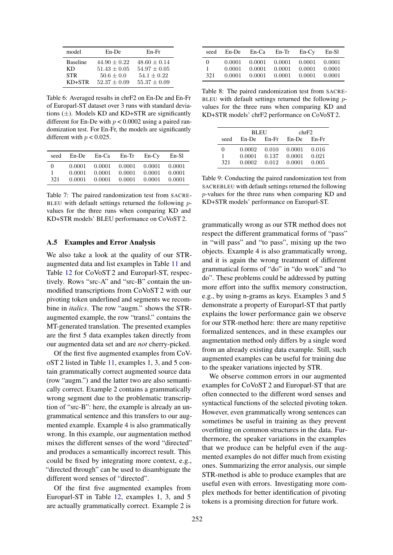<span id="page-7-1"></span>

| model           | En-De            | En-Fr            |
|-----------------|------------------|------------------|
| <b>Baseline</b> | $44.90 \pm 0.22$ | $48.60 \pm 0.14$ |
| КD              | $51.43 + 0.05$   | $54.97 + 0.05$   |
| <b>STR</b>      | $50.6 + 0.0$     | $54.1 + 0.22$    |
| KD+STR          | $52.37 + 0.09$   | $55.37 + 0.09$   |

Table 6: Averaged results in chrF2 on En-De and En-Fr of Europarl-ST dataset over 3 runs with standard deviations  $(\pm)$ . Models KD and KD+STR are significantly different for En-De with  $p < 0.0002$  using a paired randomization test. For En-Fr, the models are significantly different with  $p < 0.025$ .

<span id="page-7-3"></span>

| seed            | $En$ -De                   | En-Ca                      | $En-Tr$                    | $En-Cv$                    | $En-Sl$                    |
|-----------------|----------------------------|----------------------------|----------------------------|----------------------------|----------------------------|
| $\Omega$<br>321 | 0.0001<br>0.0001<br>0.0001 | 0.0001<br>0.0001<br>0.0001 | 0.0001<br>0.0001<br>0.0001 | 0.0001<br>0.0001<br>0.0001 | 0.0001<br>0.0001<br>0.0001 |

Table 7: The paired randomization test from SACRE-BLEU with default settings returned the following  $p$ values for the three runs when comparing KD and KD+STR models' BLEU performance on CoVoST 2.

### <span id="page-7-0"></span>A.5 Examples and Error Analysis

We also take a look at the quality of our STRaugmented data and list examples in Table [11](#page-8-1) and Table [12](#page-9-0) for CoVoST 2 and Europarl-ST, respectively. Rows "src-A" and "src-B" contain the unmodified transcriptions from CoVoST 2 with our pivoting token underlined and segments we recombine in *italics*. The row "augm." shows the STRaugmented example, the row "transl." contains the MT-generated translation. The presented examples are the first 5 data examples taken directly from our augmented data set and are *not* cherry-picked.

Of the first five augmented examples from CoVoST 2 listed in Table [11,](#page-8-1) examples 1, 3, and 5 contain grammatically correct augmented source data (row "augm.") and the latter two are also semantically correct. Example 2 contains a grammatically wrong segment due to the problematic transcription of "src-B": here, the example is already an ungrammatical sentence and this transfers to our augmented example. Example 4 is also grammatically wrong. In this example, our augmentation method mixes the different senses of the word "directed" and produces a semantically incorrect result. This could be fixed by integrating more context, e.g., "directed through" can be used to disambiguate the different word senses of "directed".

Of the first five augmented examples from Europarl-ST in Table [12,](#page-9-0) examples 1, 3, and 5 are actually grammatically correct. Example 2 is

<span id="page-7-2"></span>

| seed            | $En$ -De                   | En-Ca                      | $En-Tr$                    | $En-Cv$                    | En-Sl                      |
|-----------------|----------------------------|----------------------------|----------------------------|----------------------------|----------------------------|
| $\Omega$<br>321 | 0.0001<br>0.0001<br>0.0001 | 0.0001<br>0.0001<br>0.0001 | 0.0001<br>0.0001<br>0.0001 | 0.0001<br>0.0001<br>0.0001 | 0.0001<br>0.0001<br>0.0001 |

Table 8: The paired randomization test from SACRE-BLEU with default settings returned the following  $p$ values for the three runs when comparing KD and KD+STR models' chrF2 performance on CoVoST 2.

<span id="page-7-4"></span>

|      | <b>BLEU</b>         |       | chrF2  |         |
|------|---------------------|-------|--------|---------|
| seed | $En-Fr$<br>$En$ -De |       | En-De  | $En-Fr$ |
| 0    | 0.0002              | 0.010 | 0.0001 | 0.016   |
| 1    | 0.0001              | 0.137 | 0.0001 | 0.021   |
| 321  | 0.0002              | 0.012 | 0.0001 | 0.005   |

Table 9: Conducting the paired randomization test from SACREBLEU with default settings returned the following p-values for the three runs when comparing KD and KD+STR models' performance on Europarl-ST.

grammatically wrong as our STR method does not respect the different grammatical forms of "pass" in "will pass" and "to pass", mixing up the two objects. Example 4 is also grammatically wrong, and it is again the wrong treatment of different grammatical forms of "do" in "do work" and "to do". These problems could be addressed by putting more effort into the suffix memory construction, e.g., by using n-grams as keys. Examples 3 and 5 demonstrate a property of Europarl-ST that partly explains the lower performance gain we observe for our STR-method here: there are many repetitive formalized sentences, and in these examples our augmentation method only differs by a single word from an already existing data example. Still, such augmented examples can be useful for training due to the speaker variations injected by STR.

We observe common errors in our augmented examples for CoVoST 2 and Europarl-ST that are often connected to the different word senses and syntactical functions of the selected pivoting token. However, even grammatically wrong sentences can sometimes be useful in training as they prevent overfitting on common structures in the data. Furthermore, the speaker variations in the examples that we produce can be helpful even if the augmented examples do not differ much from existing ones. Summarizing the error analysis, our simple STR-method is able to produce examples that are useful even with errors. Investigating more complex methods for better identification of pivoting tokens is a promising direction for future work.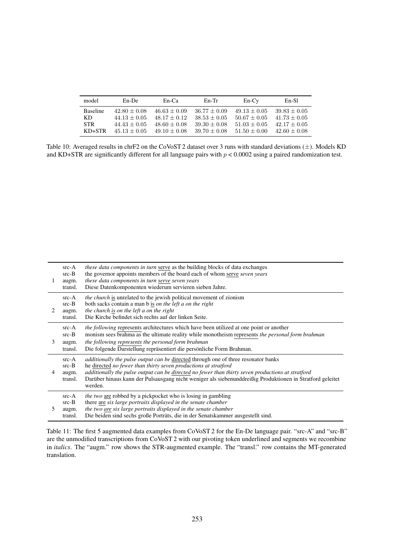<span id="page-8-0"></span>

| model                          | $En$ -De                                           | $En-Ca$                                            | $En-Tr$                                            | $En-Cv$                                            | En-S1                                                |
|--------------------------------|----------------------------------------------------|----------------------------------------------------|----------------------------------------------------|----------------------------------------------------|------------------------------------------------------|
| <b>Baseline</b><br>KD.<br>STR. | $42.80 + 0.08$<br>$44.13 + 0.05$<br>$44.43 + 0.05$ | $46.63 + 0.09$<br>$48.17 + 0.12$<br>$48.60 + 0.08$ | $36.77 + 0.09$<br>$38.53 + 0.05$<br>$39.30 + 0.08$ | $49.13 + 0.05$<br>$50.67 + 0.05$<br>$51.03 + 0.05$ | $39.83 \pm 0.05$<br>$41.73 + 0.05$<br>$42.17 + 0.05$ |
| $KD+STR$                       | $45.13 + 0.05$                                     | $49.10 + 0.08$                                     | $39.70 + 0.08$                                     | $51.50 + 0.00$                                     | $42.60 + 0.08$                                       |

Table 10: Averaged results in chrF2 on the CoVoST 2 dataset over 3 runs with standard deviations (±). Models KD and KD+STR are significantly different for all language pairs with  $p < 0.0002$  using a paired randomization test.

<span id="page-8-1"></span>

| 1              | $src-A$<br>$src-B$<br>augm.<br>transl. | <i>these data components in turn serve as the building blocks of data exchanges</i><br>the governor appoints members of the board each of whom serve <i>seven years</i><br>these data components in turn serve seven years<br>Diese Datenkomponenten wiederum servieren sieben Jahre.                                                                                                     |
|----------------|----------------------------------------|-------------------------------------------------------------------------------------------------------------------------------------------------------------------------------------------------------------------------------------------------------------------------------------------------------------------------------------------------------------------------------------------|
| $\mathfrak{D}$ | $src-A$<br>$src-B$<br>augm.<br>transl. | <i>the church</i> is unrelated to the jewish political movement of zionism<br>both sacks contain a man b is <i>on the left a on the right</i><br>the church is on the left a on the right<br>Die Kirche befindet sich rechts auf der linken Seite.                                                                                                                                        |
| 3              | $src-A$<br>$src-B$<br>augm.<br>transl. | <i>the following</i> represents architectures which have been utilized at one point or another<br>monism sees brahma as the ultimate reality while monotheism represents the personal form brahman<br>the following represents the personal form brahman<br>Die folgende Darstellung repräsentiert die persönliche Form Brahman.                                                          |
| 4              | $src-A$<br>$src-B$<br>augm.<br>transl. | <i>additionally the pulse output can be directed through one of three resonator banks</i><br>he directed no fewer than thirty seven productions at stratford<br>additionally the pulse output can be directed no fewer than thirty seven productions at stratford<br>Darüber hinaus kann der Pulsausgang nicht weniger als siebenunddreißig Produktionen in Stratford geleitet<br>werden. |
| 5              | $src-A$<br>$src-B$<br>augm.<br>transl. | <i>the two</i> are robbed by a pickpocket who is losing in gambling<br>there are six large portraits displayed in the senate chamber<br>the two are six large portraits displayed in the senate chamber<br>Die beiden sind sechs große Porträts, die in der Senatskammer ausgestellt sind.                                                                                                |

Table 11: The first 5 augmented data examples from CoVoST 2 for the En-De language pair. "src-A" and "src-B" are the unmodified transcriptions from CoVoST 2 with our pivoting token underlined and segments we recombine in *italics*. The "augm." row shows the STR-augmented example. The "transl." row contains the MT-generated translation.